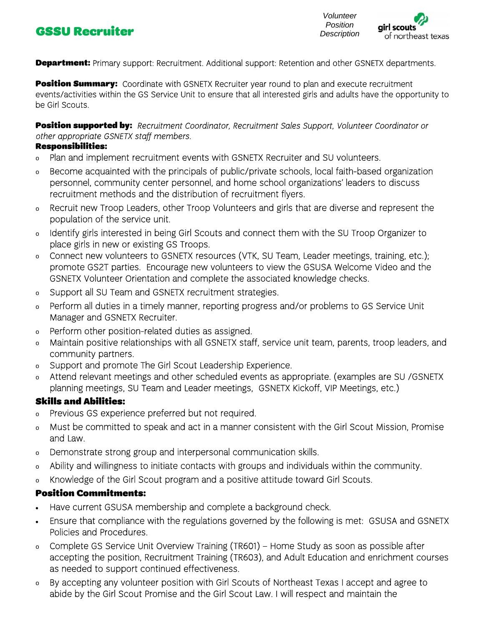## **CSSU Recruiter CSSU Recruiter Description**



**Department:** Primary support: Recruitment. Additional support: Retention and other GSNETX departments.

Position Summary: Coordinate with GSNETX Recruiter year round to plan and execute recruitment events/activities within the GS Service Unit to ensure that all interested girls and adults have the opportunity to be Girl Scouts.

Position supported by: Recruitment Coordinator, Recruitment Sales Support, Volunteer Coordinator or other appropriate GSNETX staff members.

## Responsibilities:

- <sup>o</sup> Plan and implement recruitment events with GSNETX Recruiter and SU volunteers.
- <sup>o</sup> Become acquainted with the principals of public/private schools, local faith-based organization personnel, community center personnel, and home school organizations' leaders to discuss recruitment methods and the distribution of recruitment flyers.
- <sup>o</sup> Recruit new Troop Leaders, other Troop Volunteers and girls that are diverse and represent the population of the service unit.
- <sup>o</sup> Identify girls interested in being Girl Scouts and connect them with the SU Troop Organizer to place girls in new or existing GS Troops.
- o Connect new volunteers to GSNETX resources (VTK, SU Team, Leader meetings, training, etc.); promote GS2T parties. Encourage new volunteers to view the GSUSA Welcome Video and the GSNETX Volunteer Orientation and complete the associated knowledge checks.
- <sup>o</sup> Support all SU Team and GSNETX recruitment strategies.
- <sup>o</sup> Perform all duties in a timely manner, reporting progress and/or problems to GS Service Unit Manager and GSNETX Recruiter.
- <sup>o</sup> Perform other position-related duties as assigned.
- <sup>o</sup> Maintain positive relationships with all GSNETX staff, service unit team, parents, troop leaders, and community partners.
- <sup>o</sup> Support and promote The Girl Scout Leadership Experience.
- <sup>o</sup> Attend relevant meetings and other scheduled events as appropriate. (examples are SU /GSNETX planning meetings, SU Team and Leader meetings, GSNETX Kickoff, VIP Meetings, etc.)

## Skills and Abilities:

- <sup>o</sup> Previous GS experience preferred but not required.
- <sup>o</sup> Must be committed to speak and act in a manner consistent with the Girl Scout Mission, Promise and Law.
- <sup>o</sup> Demonstrate strong group and interpersonal communication skills.
- <sup>o</sup> Ability and willingness to initiate contacts with groups and individuals within the community.
- <sup>o</sup> Knowledge of the Girl Scout program and a positive attitude toward Girl Scouts.

## Position Commitments:

- Have current GSUSA membership and complete a background check.
- Ensure that compliance with the regulations governed by the following is met: GSUSA and GSNETX Policies and Procedures.
- o Complete GS Service Unit Overview Training (TR601) Home Study as soon as possible after accepting the position, Recruitment Training (TR603), and Adult Education and enrichment courses as needed to support continued effectiveness.
- <sup>o</sup> By accepting any volunteer position with Girl Scouts of Northeast Texas I accept and agree to abide by the Girl Scout Promise and the Girl Scout Law. I will respect and maintain the